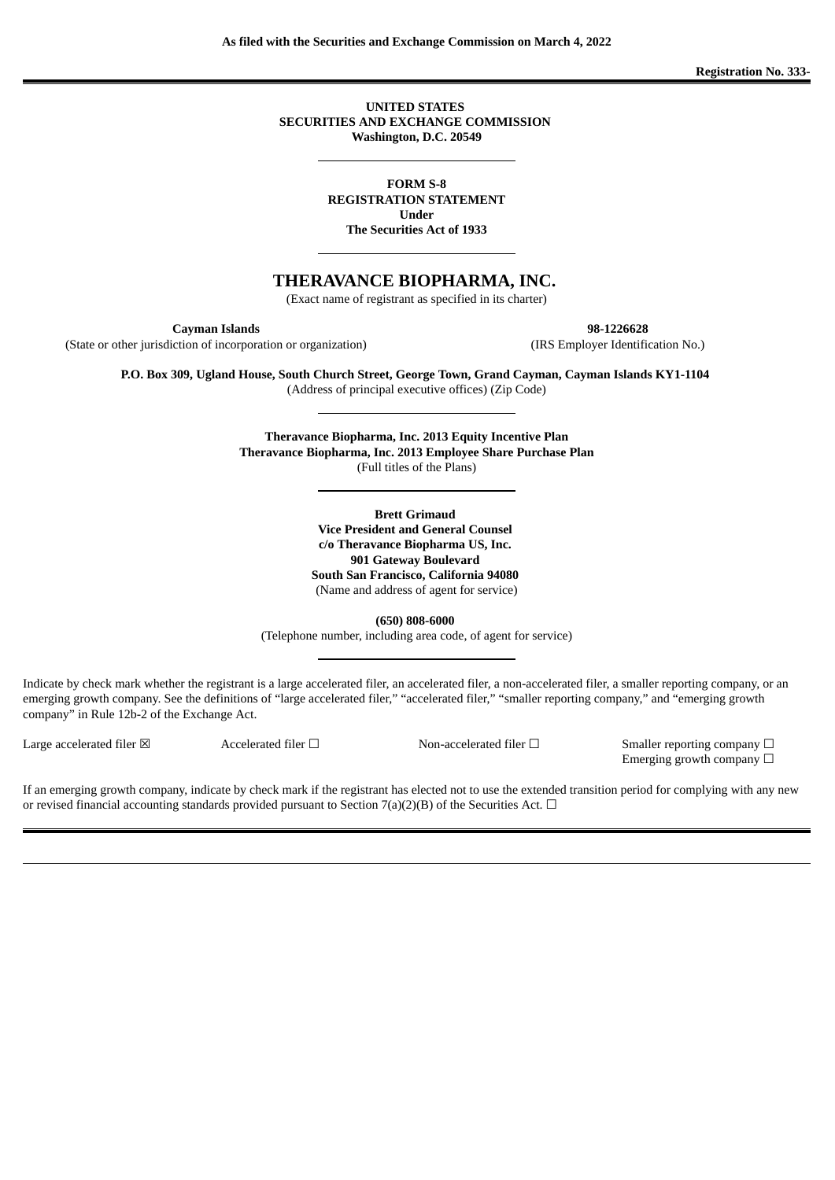**Registration No. 333-**

**UNITED STATES SECURITIES AND EXCHANGE COMMISSION Washington, D.C. 20549**

**FORM S-8 REGISTRATION STATEMENT Under**

**The Securities Act of 1933**

**THERAVANCE BIOPHARMA, INC.**

(Exact name of registrant as specified in its charter)

**Cayman Islands 98-1226628**

(State or other jurisdiction of incorporation or organization) (IRS Employer Identification No.)

**P.O. Box 309, Ugland House, South Church Street, George Town, Grand Cayman, Cayman Islands KY1-1104** (Address of principal executive offices) (Zip Code)

> **Theravance Biopharma, Inc. 2013 Equity Incentive Plan Theravance Biopharma, Inc. 2013 Employee Share Purchase Plan** (Full titles of the Plans)

> > **Brett Grimaud Vice President and General Counsel c/o Theravance Biopharma US, Inc. 901 Gateway Boulevard South San Francisco, California 94080** (Name and address of agent for service)

> > > **(650) 808-6000**

(Telephone number, including area code, of agent for service)

Indicate by check mark whether the registrant is a large accelerated filer, an accelerated filer, a non-accelerated filer, a smaller reporting company, or an emerging growth company. See the definitions of "large accelerated filer," "accelerated filer," "smaller reporting company," and "emerging growth company" in Rule 12b-2 of the Exchange Act.

Large accelerated filer ⊠ Accelerated filer □ Non-accelerated filer □ Smaller reporting company □ Emerging growth company  $\Box$ 

If an emerging growth company, indicate by check mark if the registrant has elected not to use the extended transition period for complying with any new or revised financial accounting standards provided pursuant to Section 7(a)(2)(B) of the Securities Act.  $\Box$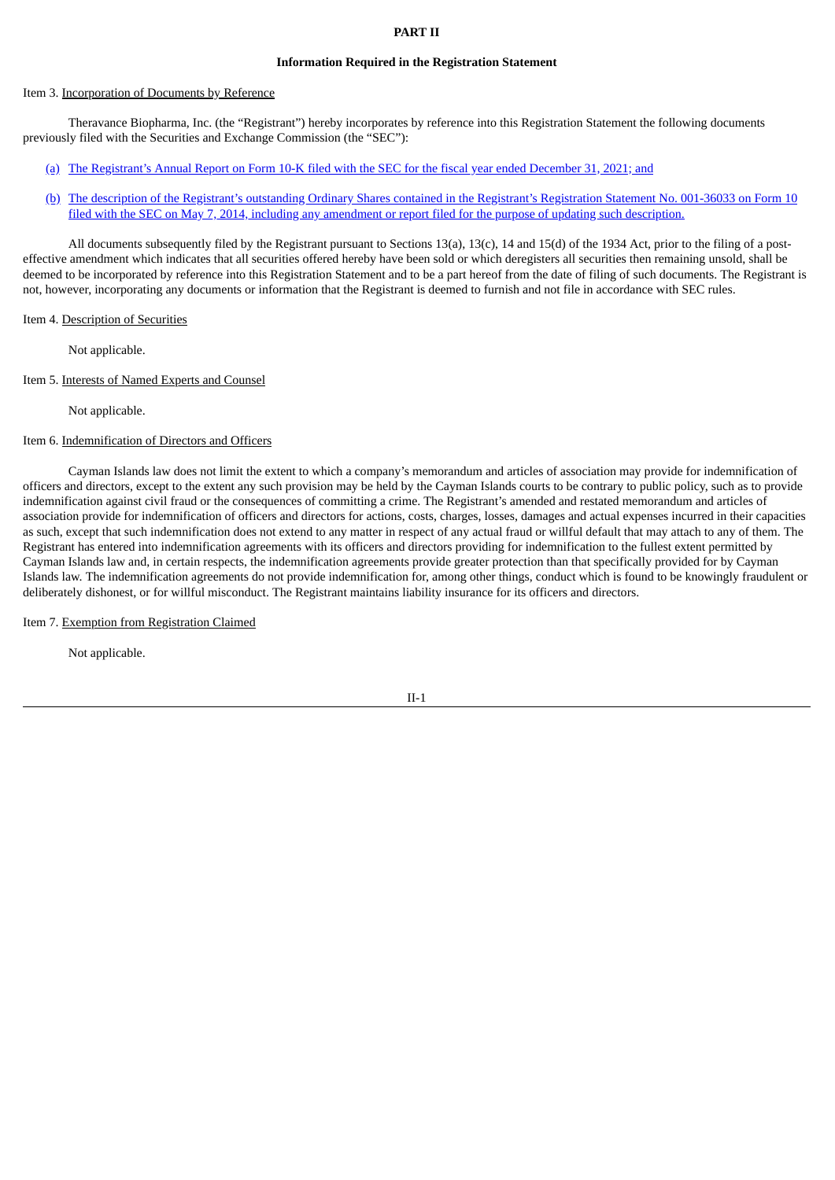### **PART II**

#### **Information Required in the Registration Statement**

#### Item 3. Incorporation of Documents by Reference

Theravance Biopharma, Inc. (the "Registrant") hereby incorporates by reference into this Registration Statement the following documents previously filed with the Securities and Exchange Commission (the "SEC"):

- [\(a\)](http://www.sec.gov/ix?doc=/Archives/edgar/data/1583107/000155837022002373/tbph-20211231x10k.htm) The [Registrant's](http://www.sec.gov/ix?doc=/Archives/edgar/data/1583107/000155837022002373/tbph-20211231x10k.htm) Annual Report on Form 10-K filed with the SEC for the fiscal year ended December 31, 2021; and
- [\(b\)](http://www.sec.gov/Archives/edgar/data/1583107/000104746914004658/a2220057z10-12ba.htm) The description of the Registrant's outstanding Ordinary Shares contained in the Registrant's [Registration](http://www.sec.gov/Archives/edgar/data/1583107/000104746914004658/a2220057z10-12ba.htm) Statement No. 001-36033 on Form 10 filed with the SEC on May 7, 2014, including any amendment or report filed for the purpose of updating such description.

All documents subsequently filed by the Registrant pursuant to Sections 13(a), 13(c), 14 and 15(d) of the 1934 Act, prior to the filing of a posteffective amendment which indicates that all securities offered hereby have been sold or which deregisters all securities then remaining unsold, shall be deemed to be incorporated by reference into this Registration Statement and to be a part hereof from the date of filing of such documents. The Registrant is not, however, incorporating any documents or information that the Registrant is deemed to furnish and not file in accordance with SEC rules.

### Item 4. Description of Securities

Not applicable.

Item 5. Interests of Named Experts and Counsel

Not applicable.

# Item 6. Indemnification of Directors and Officers

Cayman Islands law does not limit the extent to which a company's memorandum and articles of association may provide for indemnification of officers and directors, except to the extent any such provision may be held by the Cayman Islands courts to be contrary to public policy, such as to provide indemnification against civil fraud or the consequences of committing a crime. The Registrant's amended and restated memorandum and articles of association provide for indemnification of officers and directors for actions, costs, charges, losses, damages and actual expenses incurred in their capacities as such, except that such indemnification does not extend to any matter in respect of any actual fraud or willful default that may attach to any of them. The Registrant has entered into indemnification agreements with its officers and directors providing for indemnification to the fullest extent permitted by Cayman Islands law and, in certain respects, the indemnification agreements provide greater protection than that specifically provided for by Cayman Islands law. The indemnification agreements do not provide indemnification for, among other things, conduct which is found to be knowingly fraudulent or deliberately dishonest, or for willful misconduct. The Registrant maintains liability insurance for its officers and directors.

Item 7. Exemption from Registration Claimed

Not applicable.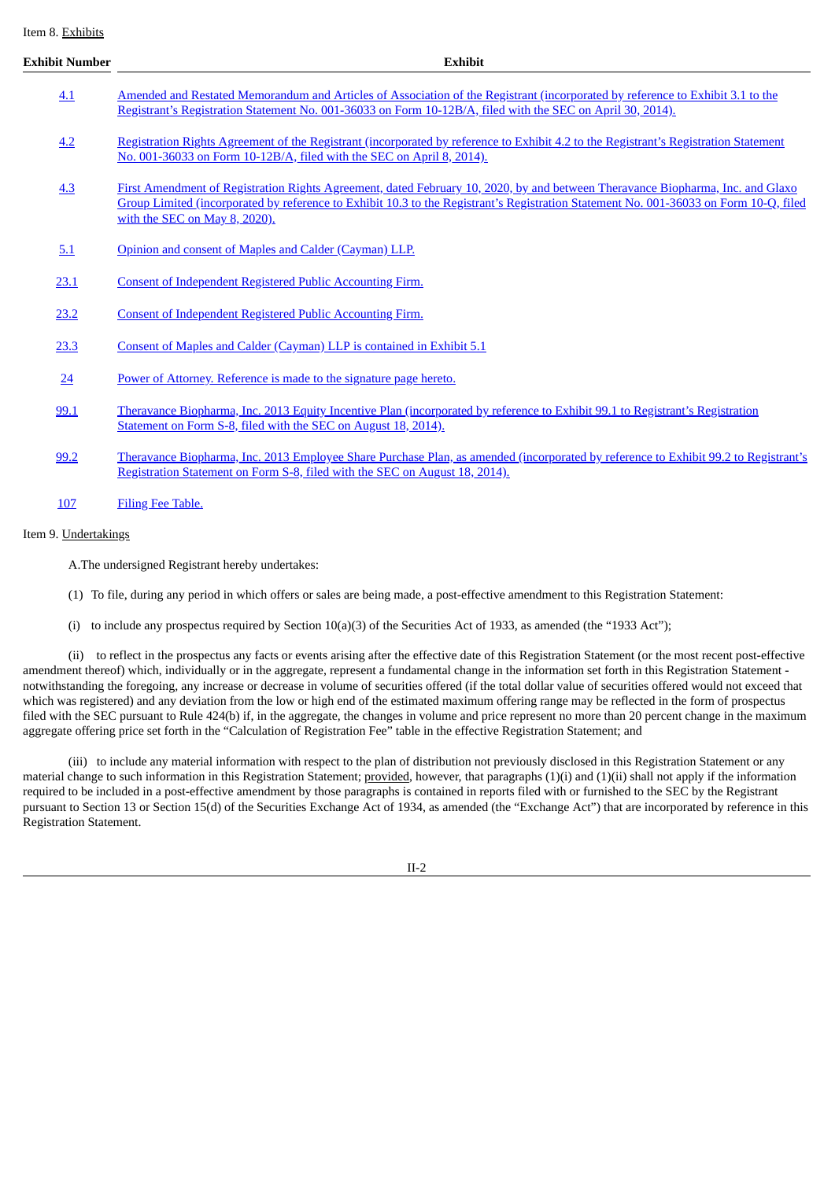Item 8. Exhibits

| <b>Exhibit Number</b> | <b>Exhibit</b>                                                                                                                                                                                                                                                                                           |  |  |  |  |  |  |
|-----------------------|----------------------------------------------------------------------------------------------------------------------------------------------------------------------------------------------------------------------------------------------------------------------------------------------------------|--|--|--|--|--|--|
| 4.1                   | Amended and Restated Memorandum and Articles of Association of the Registrant (incorporated by reference to Exhibit 3.1 to the<br>Registrant's Registration Statement No. 001-36033 on Form 10-12B/A, filed with the SEC on April 30, 2014).                                                             |  |  |  |  |  |  |
| 4.2                   | Registration Rights Agreement of the Registrant (incorporated by reference to Exhibit 4.2 to the Registrant's Registration Statement<br>No. 001-36033 on Form 10-12B/A, filed with the SEC on April 8, 2014).                                                                                            |  |  |  |  |  |  |
| 4.3                   | First Amendment of Registration Rights Agreement, dated February 10, 2020, by and between Theravance Biopharma, Inc. and Glaxo<br>Group Limited (incorporated by reference to Exhibit 10.3 to the Registrant's Registration Statement No. 001-36033 on Form 10-Q, filed<br>with the SEC on May 8, 2020). |  |  |  |  |  |  |
| 5.1                   | Opinion and consent of Maples and Calder (Cayman) LLP.                                                                                                                                                                                                                                                   |  |  |  |  |  |  |
| 23.1                  | <b>Consent of Independent Registered Public Accounting Firm.</b>                                                                                                                                                                                                                                         |  |  |  |  |  |  |
| 23.2                  | Consent of Independent Registered Public Accounting Firm.                                                                                                                                                                                                                                                |  |  |  |  |  |  |
| 23.3                  | Consent of Maples and Calder (Cayman) LLP is contained in Exhibit 5.1                                                                                                                                                                                                                                    |  |  |  |  |  |  |
| $\underline{24}$      | Power of Attorney. Reference is made to the signature page hereto.                                                                                                                                                                                                                                       |  |  |  |  |  |  |
| 99.1                  | Theravance Biopharma, Inc. 2013 Equity Incentive Plan (incorporated by reference to Exhibit 99.1 to Registrant's Registration<br>Statement on Form S-8, filed with the SEC on August 18, 2014).                                                                                                          |  |  |  |  |  |  |
| 99.2                  | Theravance Biopharma, Inc. 2013 Employee Share Purchase Plan, as amended (incorporated by reference to Exhibit 99.2 to Registrant's<br>Registration Statement on Form S-8, filed with the SEC on August 18, 2014).                                                                                       |  |  |  |  |  |  |
| 107                   | Filing Fee Table.                                                                                                                                                                                                                                                                                        |  |  |  |  |  |  |

## Item 9. Undertakings

A.The undersigned Registrant hereby undertakes:

- (1) To file, during any period in which offers or sales are being made, a post-effective amendment to this Registration Statement:
- (i) to include any prospectus required by Section  $10(a)(3)$  of the Securities Act of 1933, as amended (the "1933 Act");

(ii) to reflect in the prospectus any facts or events arising after the effective date of this Registration Statement (or the most recent post-effective amendment thereof) which, individually or in the aggregate, represent a fundamental change in the information set forth in this Registration Statement notwithstanding the foregoing, any increase or decrease in volume of securities offered (if the total dollar value of securities offered would not exceed that which was registered) and any deviation from the low or high end of the estimated maximum offering range may be reflected in the form of prospectus filed with the SEC pursuant to Rule 424(b) if, in the aggregate, the changes in volume and price represent no more than 20 percent change in the maximum aggregate offering price set forth in the "Calculation of Registration Fee" table in the effective Registration Statement; and

(iii) to include any material information with respect to the plan of distribution not previously disclosed in this Registration Statement or any material change to such information in this Registration Statement; provided, however, that paragraphs (1)(i) and (1)(ii) shall not apply if the information required to be included in a post-effective amendment by those paragraphs is contained in reports filed with or furnished to the SEC by the Registrant pursuant to Section 13 or Section 15(d) of the Securities Exchange Act of 1934, as amended (the "Exchange Act") that are incorporated by reference in this Registration Statement.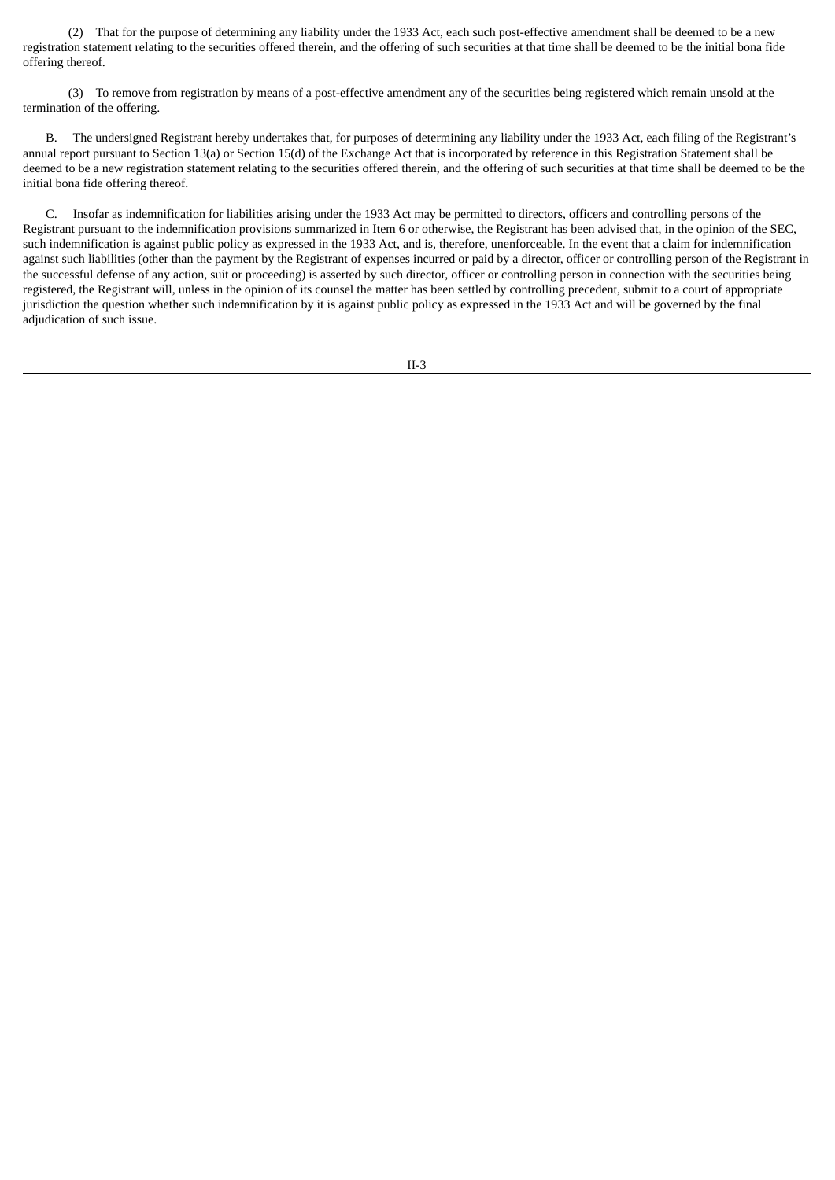(2) That for the purpose of determining any liability under the 1933 Act, each such post-effective amendment shall be deemed to be a new registration statement relating to the securities offered therein, and the offering of such securities at that time shall be deemed to be the initial bona fide offering thereof.

(3) To remove from registration by means of a post-effective amendment any of the securities being registered which remain unsold at the termination of the offering.

B. The undersigned Registrant hereby undertakes that, for purposes of determining any liability under the 1933 Act, each filing of the Registrant's annual report pursuant to Section 13(a) or Section 15(d) of the Exchange Act that is incorporated by reference in this Registration Statement shall be deemed to be a new registration statement relating to the securities offered therein, and the offering of such securities at that time shall be deemed to be the initial bona fide offering thereof.

C. Insofar as indemnification for liabilities arising under the 1933 Act may be permitted to directors, officers and controlling persons of the Registrant pursuant to the indemnification provisions summarized in Item 6 or otherwise, the Registrant has been advised that, in the opinion of the SEC, such indemnification is against public policy as expressed in the 1933 Act, and is, therefore, unenforceable. In the event that a claim for indemnification against such liabilities (other than the payment by the Registrant of expenses incurred or paid by a director, officer or controlling person of the Registrant in the successful defense of any action, suit or proceeding) is asserted by such director, officer or controlling person in connection with the securities being registered, the Registrant will, unless in the opinion of its counsel the matter has been settled by controlling precedent, submit to a court of appropriate jurisdiction the question whether such indemnification by it is against public policy as expressed in the 1933 Act and will be governed by the final adjudication of such issue.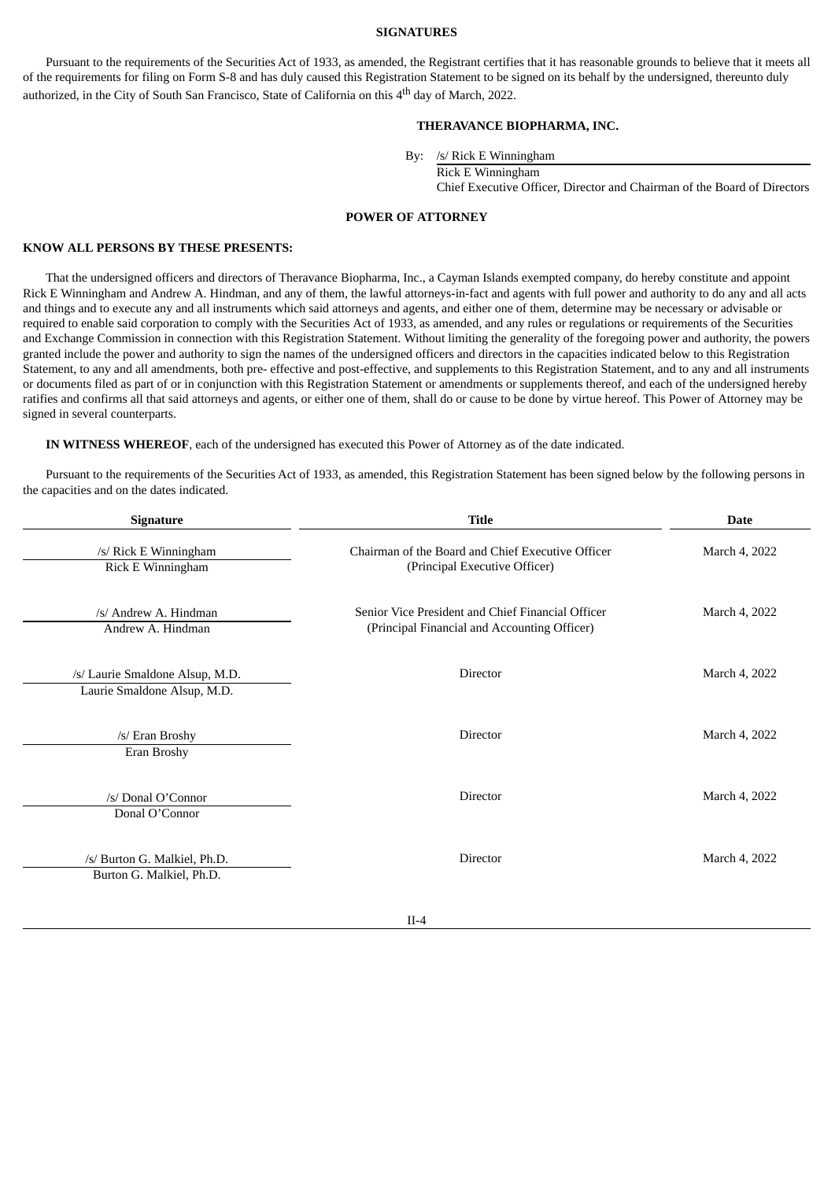#### **SIGNATURES**

<span id="page-4-0"></span>Pursuant to the requirements of the Securities Act of 1933, as amended, the Registrant certifies that it has reasonable grounds to believe that it meets all of the requirements for filing on Form S-8 and has duly caused this Registration Statement to be signed on its behalf by the undersigned, thereunto duly authorized, in the City of South San Francisco, State of California on this 4<sup>th</sup> day of March, 2022.

## **THERAVANCE BIOPHARMA, INC.**

By: /s/ Rick E Winningham

Rick E Winningham Chief Executive Officer, Director and Chairman of the Board of Directors

#### **POWER OF ATTORNEY**

#### **KNOW ALL PERSONS BY THESE PRESENTS:**

That the undersigned officers and directors of Theravance Biopharma, Inc., a Cayman Islands exempted company, do hereby constitute and appoint Rick E Winningham and Andrew A. Hindman, and any of them, the lawful attorneys-in-fact and agents with full power and authority to do any and all acts and things and to execute any and all instruments which said attorneys and agents, and either one of them, determine may be necessary or advisable or required to enable said corporation to comply with the Securities Act of 1933, as amended, and any rules or regulations or requirements of the Securities and Exchange Commission in connection with this Registration Statement. Without limiting the generality of the foregoing power and authority, the powers granted include the power and authority to sign the names of the undersigned officers and directors in the capacities indicated below to this Registration Statement, to any and all amendments, both pre- effective and post-effective, and supplements to this Registration Statement, and to any and all instruments or documents filed as part of or in conjunction with this Registration Statement or amendments or supplements thereof, and each of the undersigned hereby ratifies and confirms all that said attorneys and agents, or either one of them, shall do or cause to be done by virtue hereof. This Power of Attorney may be signed in several counterparts.

**IN WITNESS WHEREOF**, each of the undersigned has executed this Power of Attorney as of the date indicated.

Pursuant to the requirements of the Securities Act of 1933, as amended, this Registration Statement has been signed below by the following persons in the capacities and on the dates indicated.

| <b>Signature</b>                                               | <b>Title</b>                                                                                      | <b>Date</b>   |  |  |
|----------------------------------------------------------------|---------------------------------------------------------------------------------------------------|---------------|--|--|
| /s/ Rick E Winningham<br>Rick E Winningham                     | Chairman of the Board and Chief Executive Officer<br>(Principal Executive Officer)                | March 4, 2022 |  |  |
| /s/ Andrew A. Hindman<br>Andrew A. Hindman                     | Senior Vice President and Chief Financial Officer<br>(Principal Financial and Accounting Officer) | March 4, 2022 |  |  |
| /s/ Laurie Smaldone Alsup, M.D.<br>Laurie Smaldone Alsup, M.D. | Director                                                                                          | March 4, 2022 |  |  |
| /s/ Eran Broshy<br>Eran Broshy                                 | Director                                                                                          | March 4, 2022 |  |  |
| /s/ Donal O'Connor<br>Donal O'Connor                           | Director                                                                                          | March 4, 2022 |  |  |
| /s/ Burton G. Malkiel, Ph.D.<br>Burton G. Malkiel, Ph.D.       | Director                                                                                          | March 4, 2022 |  |  |
|                                                                |                                                                                                   |               |  |  |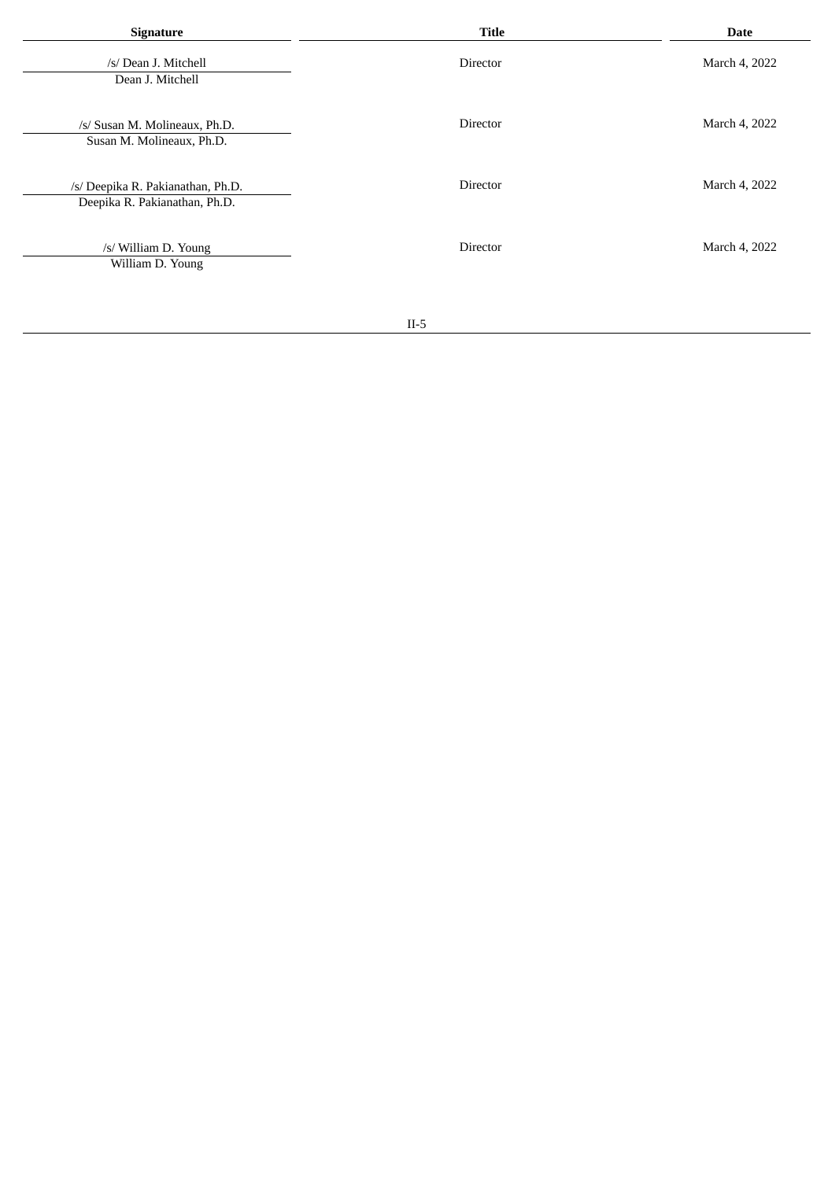| Signature                                                          | <b>Title</b> | Date          |
|--------------------------------------------------------------------|--------------|---------------|
| /s/ Dean J. Mitchell<br>Dean J. Mitchell                           | Director     | March 4, 2022 |
| /s/ Susan M. Molineaux, Ph.D.<br>Susan M. Molineaux, Ph.D.         | Director     | March 4, 2022 |
| /s/ Deepika R. Pakianathan, Ph.D.<br>Deepika R. Pakianathan, Ph.D. | Director     | March 4, 2022 |
| /s/ William D. Young<br>William D. Young                           | Director     | March 4, 2022 |
|                                                                    |              |               |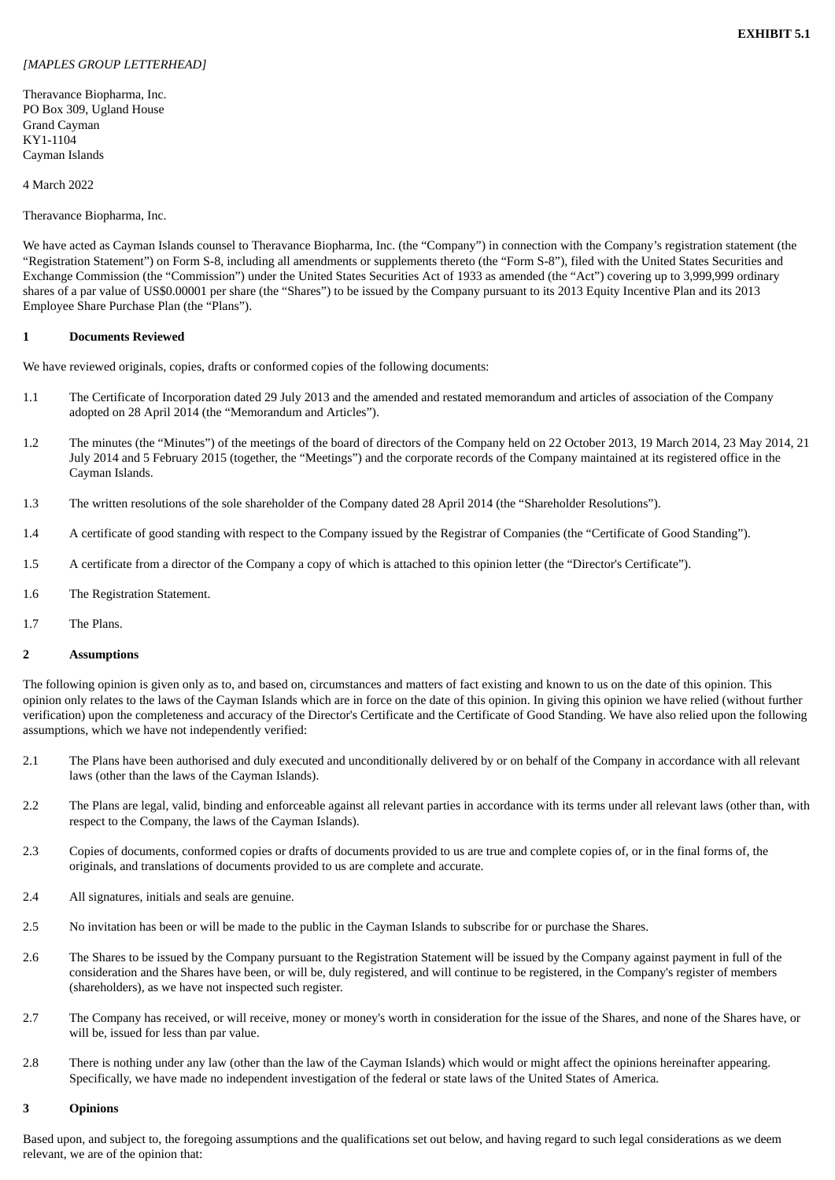## <span id="page-6-0"></span>*[MAPLES GROUP LETTERHEAD]*

Theravance Biopharma, Inc. PO Box 309, Ugland House Grand Cayman KY1-1104 Cayman Islands

## 4 March 2022

Theravance Biopharma, Inc.

We have acted as Cayman Islands counsel to Theravance Biopharma, Inc. (the "Company") in connection with the Company's registration statement (the "Registration Statement") on Form S-8, including all amendments or supplements thereto (the "Form S-8"), filed with the United States Securities and Exchange Commission (the "Commission") under the United States Securities Act of 1933 as amended (the "Act") covering up to 3,999,999 ordinary shares of a par value of US\$0.00001 per share (the "Shares") to be issued by the Company pursuant to its 2013 Equity Incentive Plan and its 2013 Employee Share Purchase Plan (the "Plans").

### **1 Documents Reviewed**

We have reviewed originals, copies, drafts or conformed copies of the following documents:

- 1.1 The Certificate of Incorporation dated 29 July 2013 and the amended and restated memorandum and articles of association of the Company adopted on 28 April 2014 (the "Memorandum and Articles").
- 1.2 The minutes (the "Minutes") of the meetings of the board of directors of the Company held on 22 October 2013, 19 March 2014, 23 May 2014, 21 July 2014 and 5 February 2015 (together, the "Meetings") and the corporate records of the Company maintained at its registered office in the Cayman Islands.
- 1.3 The written resolutions of the sole shareholder of the Company dated 28 April 2014 (the "Shareholder Resolutions").
- 1.4 A certificate of good standing with respect to the Company issued by the Registrar of Companies (the "Certificate of Good Standing").
- 1.5 A certificate from a director of the Company a copy of which is attached to this opinion letter (the "Director's Certificate").
- 1.6 The Registration Statement.
- 1.7 The Plans.

# **2 Assumptions**

The following opinion is given only as to, and based on, circumstances and matters of fact existing and known to us on the date of this opinion. This opinion only relates to the laws of the Cayman Islands which are in force on the date of this opinion. In giving this opinion we have relied (without further verification) upon the completeness and accuracy of the Director's Certificate and the Certificate of Good Standing. We have also relied upon the following assumptions, which we have not independently verified:

- 2.1 The Plans have been authorised and duly executed and unconditionally delivered by or on behalf of the Company in accordance with all relevant laws (other than the laws of the Cayman Islands).
- 2.2 The Plans are legal, valid, binding and enforceable against all relevant parties in accordance with its terms under all relevant laws (other than, with respect to the Company, the laws of the Cayman Islands).
- 2.3 Copies of documents, conformed copies or drafts of documents provided to us are true and complete copies of, or in the final forms of, the originals, and translations of documents provided to us are complete and accurate.
- 2.4 All signatures, initials and seals are genuine.
- 2.5 No invitation has been or will be made to the public in the Cayman Islands to subscribe for or purchase the Shares.
- 2.6 The Shares to be issued by the Company pursuant to the Registration Statement will be issued by the Company against payment in full of the consideration and the Shares have been, or will be, duly registered, and will continue to be registered, in the Company's register of members (shareholders), as we have not inspected such register.
- 2.7 The Company has received, or will receive, money or money's worth in consideration for the issue of the Shares, and none of the Shares have, or will be, issued for less than par value.
- 2.8 There is nothing under any law (other than the law of the Cayman Islands) which would or might affect the opinions hereinafter appearing. Specifically, we have made no independent investigation of the federal or state laws of the United States of America.

### **3 Opinions**

Based upon, and subject to, the foregoing assumptions and the qualifications set out below, and having regard to such legal considerations as we deem relevant, we are of the opinion that: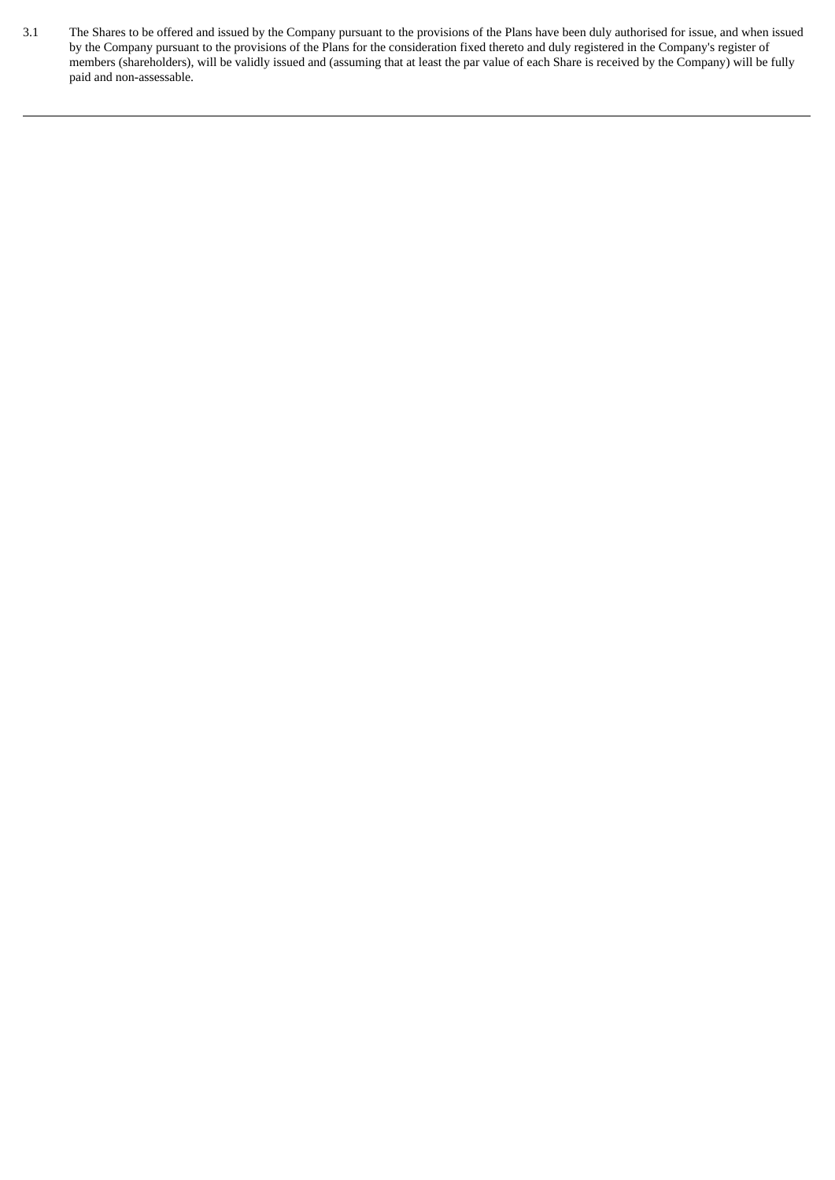3.1 The Shares to be offered and issued by the Company pursuant to the provisions of the Plans have been duly authorised for issue, and when issued by the Company pursuant to the provisions of the Plans for the consideration fixed thereto and duly registered in the Company's register of members (shareholders), will be validly issued and (assuming that at least the par value of each Share is received by the Company) will be fully paid and non-assessable.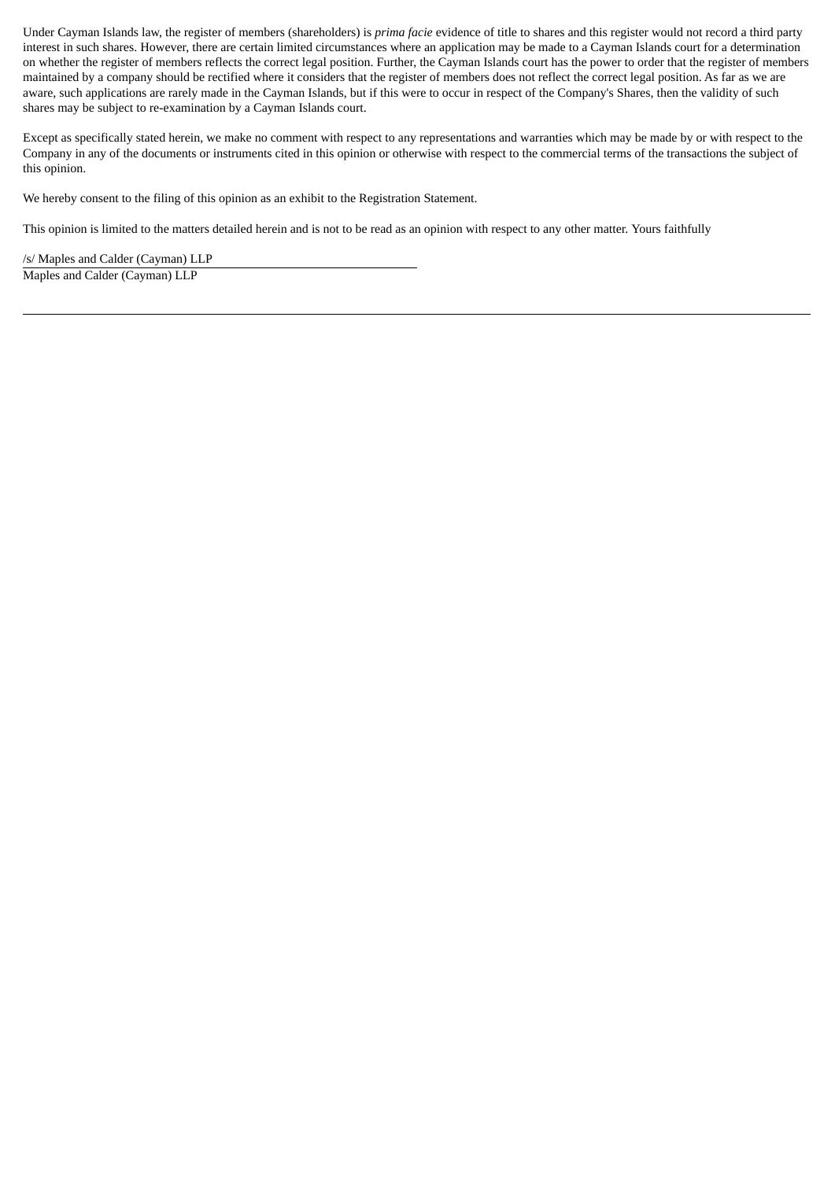Under Cayman Islands law, the register of members (shareholders) is *prima facie* evidence of title to shares and this register would not record a third party interest in such shares. However, there are certain limited circumstances where an application may be made to a Cayman Islands court for a determination on whether the register of members reflects the correct legal position. Further, the Cayman Islands court has the power to order that the register of members maintained by a company should be rectified where it considers that the register of members does not reflect the correct legal position. As far as we are aware, such applications are rarely made in the Cayman Islands, but if this were to occur in respect of the Company's Shares, then the validity of such shares may be subject to re-examination by a Cayman Islands court.

Except as specifically stated herein, we make no comment with respect to any representations and warranties which may be made by or with respect to the Company in any of the documents or instruments cited in this opinion or otherwise with respect to the commercial terms of the transactions the subject of this opinion.

We hereby consent to the filing of this opinion as an exhibit to the Registration Statement.

This opinion is limited to the matters detailed herein and is not to be read as an opinion with respect to any other matter. Yours faithfully

/s/ Maples and Calder (Cayman) LLP Maples and Calder (Cayman) LLP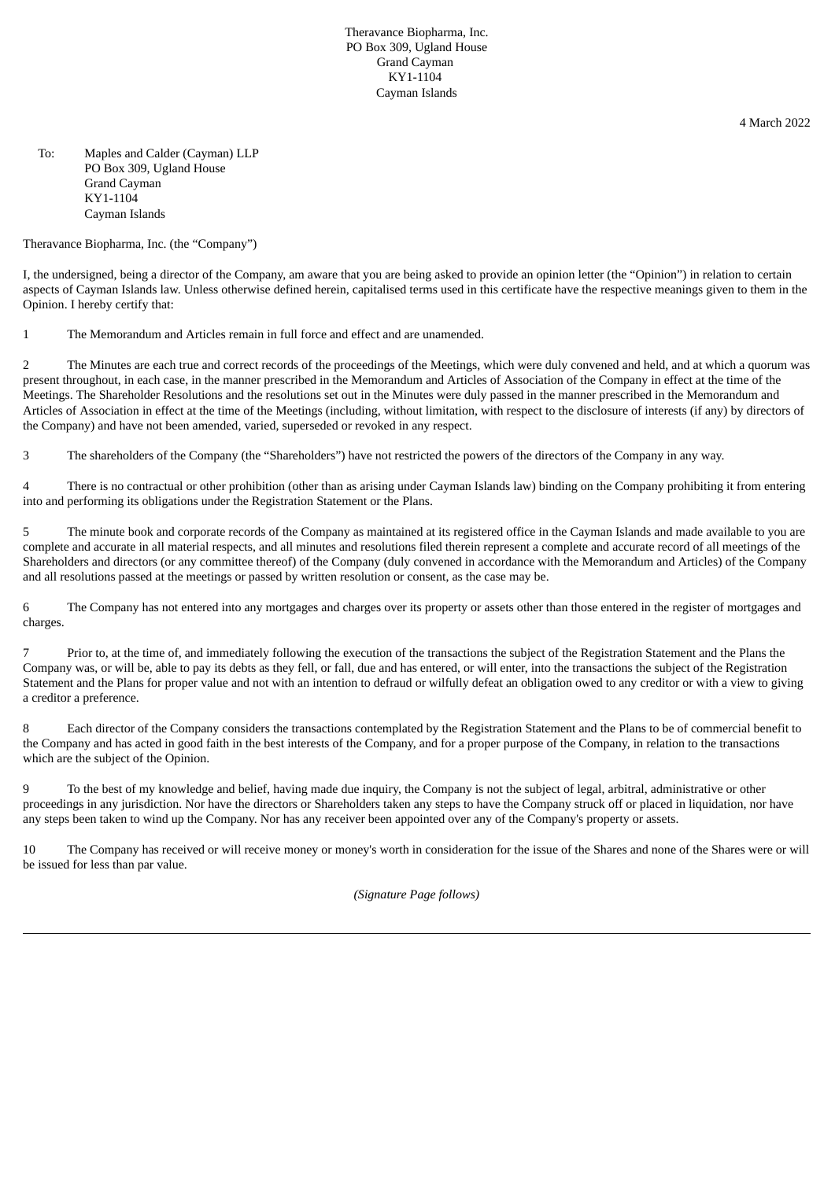Theravance Biopharma, Inc. PO Box 309, Ugland House Grand Cayman KY1-1104 Cayman Islands

4 March 2022

To: Maples and Calder (Cayman) LLP PO Box 309, Ugland House Grand Cayman KY1-1104 Cayman Islands

Theravance Biopharma, Inc. (the "Company")

I, the undersigned, being a director of the Company, am aware that you are being asked to provide an opinion letter (the "Opinion") in relation to certain aspects of Cayman Islands law. Unless otherwise defined herein, capitalised terms used in this certificate have the respective meanings given to them in the Opinion. I hereby certify that:

1 The Memorandum and Articles remain in full force and effect and are unamended.

2 The Minutes are each true and correct records of the proceedings of the Meetings, which were duly convened and held, and at which a quorum was present throughout, in each case, in the manner prescribed in the Memorandum and Articles of Association of the Company in effect at the time of the Meetings. The Shareholder Resolutions and the resolutions set out in the Minutes were duly passed in the manner prescribed in the Memorandum and Articles of Association in effect at the time of the Meetings (including, without limitation, with respect to the disclosure of interests (if any) by directors of the Company) and have not been amended, varied, superseded or revoked in any respect.

3 The shareholders of the Company (the "Shareholders") have not restricted the powers of the directors of the Company in any way.

4 There is no contractual or other prohibition (other than as arising under Cayman Islands law) binding on the Company prohibiting it from entering into and performing its obligations under the Registration Statement or the Plans.

5 The minute book and corporate records of the Company as maintained at its registered office in the Cayman Islands and made available to you are complete and accurate in all material respects, and all minutes and resolutions filed therein represent a complete and accurate record of all meetings of the Shareholders and directors (or any committee thereof) of the Company (duly convened in accordance with the Memorandum and Articles) of the Company and all resolutions passed at the meetings or passed by written resolution or consent, as the case may be.

6 The Company has not entered into any mortgages and charges over its property or assets other than those entered in the register of mortgages and charges.

7 Prior to, at the time of, and immediately following the execution of the transactions the subject of the Registration Statement and the Plans the Company was, or will be, able to pay its debts as they fell, or fall, due and has entered, or will enter, into the transactions the subject of the Registration Statement and the Plans for proper value and not with an intention to defraud or wilfully defeat an obligation owed to any creditor or with a view to giving a creditor a preference.

8 Each director of the Company considers the transactions contemplated by the Registration Statement and the Plans to be of commercial benefit to the Company and has acted in good faith in the best interests of the Company, and for a proper purpose of the Company, in relation to the transactions which are the subject of the Opinion.

9 To the best of my knowledge and belief, having made due inquiry, the Company is not the subject of legal, arbitral, administrative or other proceedings in any jurisdiction. Nor have the directors or Shareholders taken any steps to have the Company struck off or placed in liquidation, nor have any steps been taken to wind up the Company. Nor has any receiver been appointed over any of the Company's property or assets.

10 The Company has received or will receive money or money's worth in consideration for the issue of the Shares and none of the Shares were or will be issued for less than par value.

*(Signature Page follows)*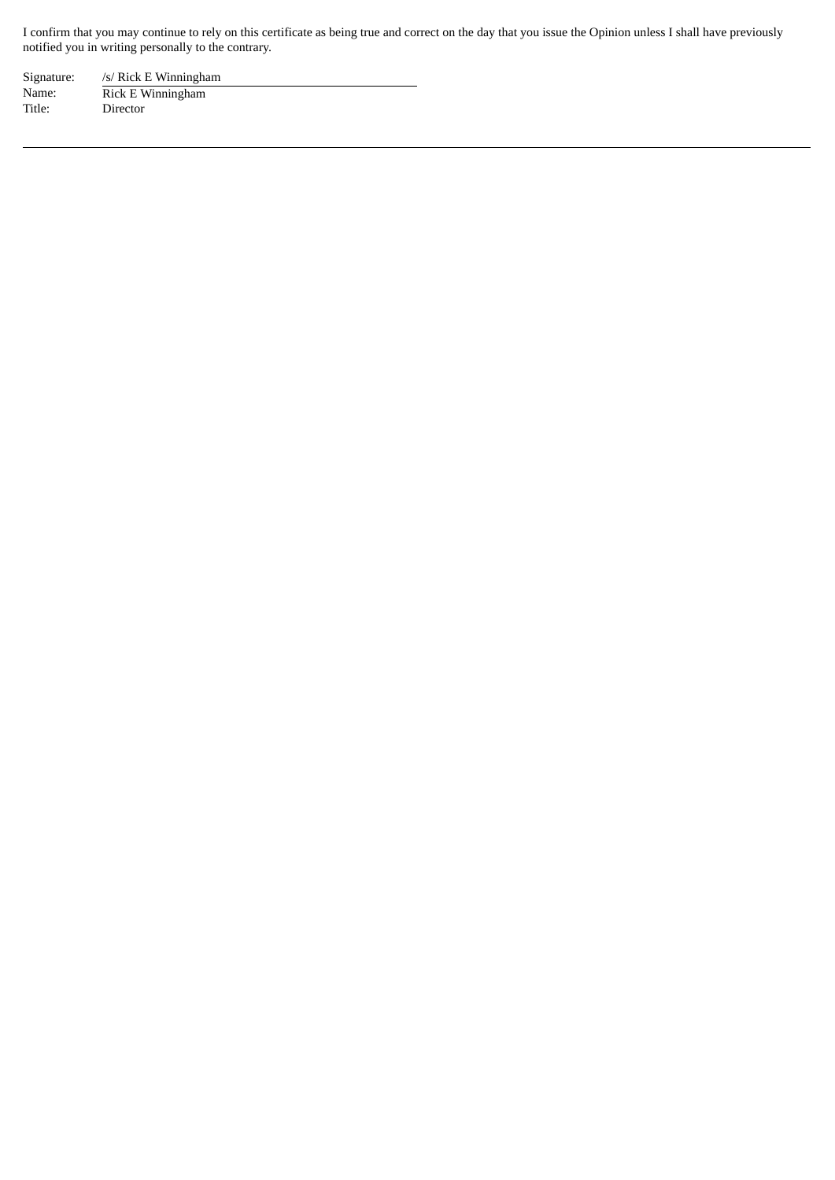I confirm that you may continue to rely on this certificate as being true and correct on the day that you issue the Opinion unless I shall have previously notified you in writing personally to the contrary.

Signature: /s/ Rick E Winningham Name: Rick E Winningham Title: Director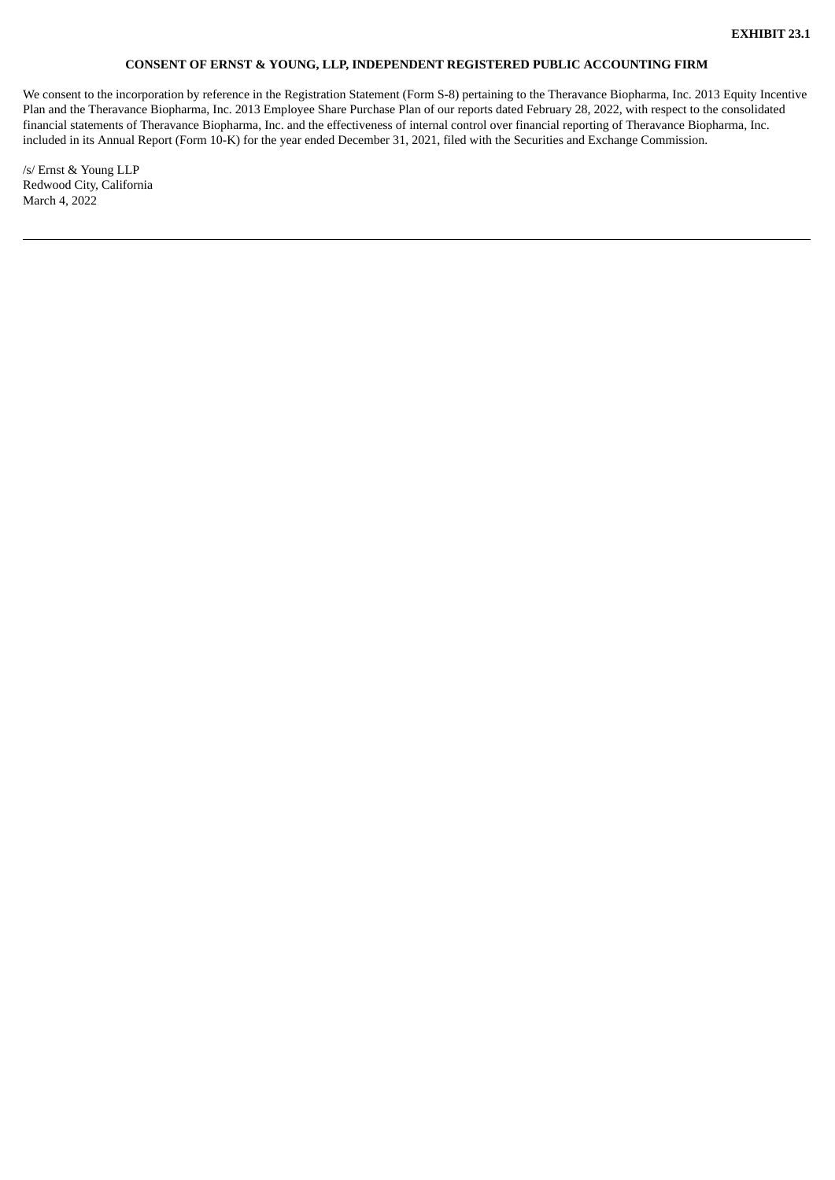# **CONSENT OF ERNST & YOUNG, LLP, INDEPENDENT REGISTERED PUBLIC ACCOUNTING FIRM**

<span id="page-11-0"></span>We consent to the incorporation by reference in the Registration Statement (Form S-8) pertaining to the Theravance Biopharma, Inc. 2013 Equity Incentive Plan and the Theravance Biopharma, Inc. 2013 Employee Share Purchase Plan of our reports dated February 28, 2022, with respect to the consolidated financial statements of Theravance Biopharma, Inc. and the effectiveness of internal control over financial reporting of Theravance Biopharma, Inc. included in its Annual Report (Form 10-K) for the year ended December 31, 2021, filed with the Securities and Exchange Commission.

/s/ Ernst & Young LLP Redwood City, California March 4, 2022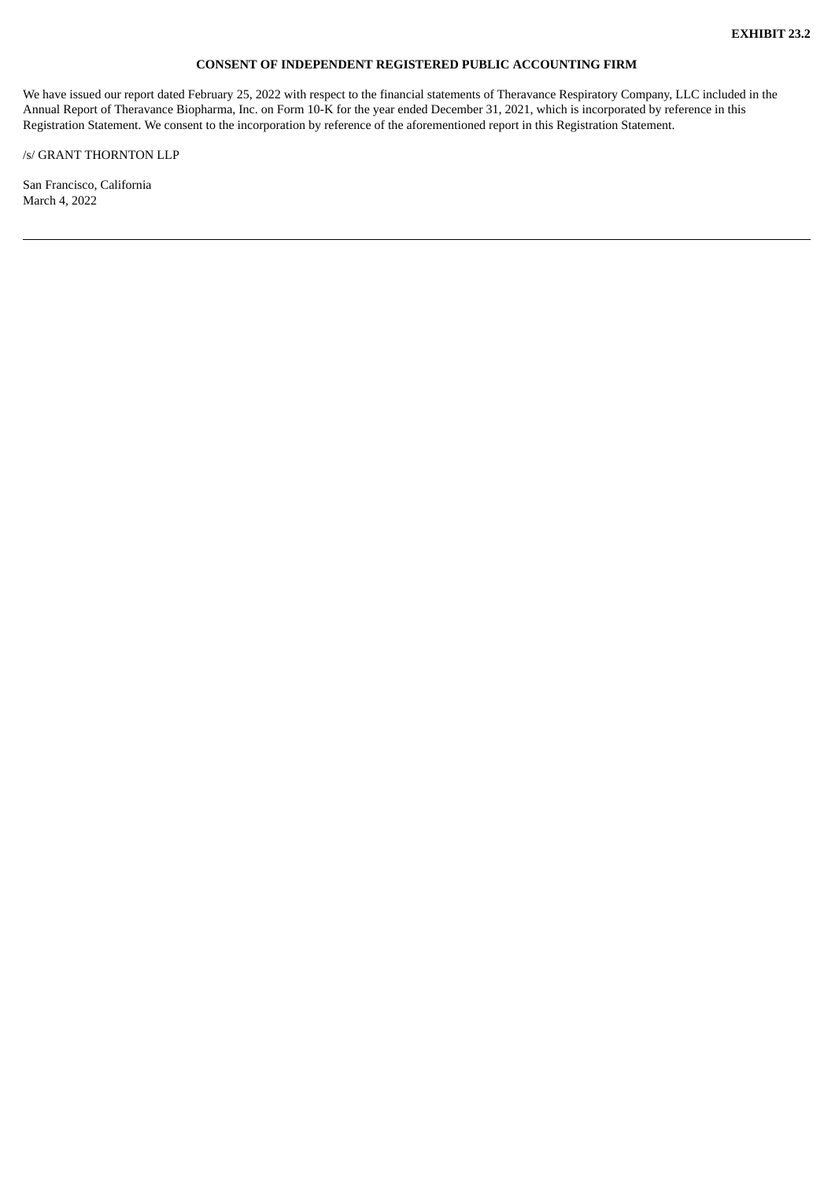# **CONSENT OF INDEPENDENT REGISTERED PUBLIC ACCOUNTING FIRM**

<span id="page-12-0"></span>We have issued our report dated February 25, 2022 with respect to the financial statements of Theravance Respiratory Company, LLC included in the Annual Report of Theravance Biopharma, Inc. on Form 10-K for the year ended December 31, 2021, which is incorporated by reference in this Registration Statement. We consent to the incorporation by reference of the aforementioned report in this Registration Statement.

/s/ GRANT THORNTON LLP

San Francisco, California March 4, 2022